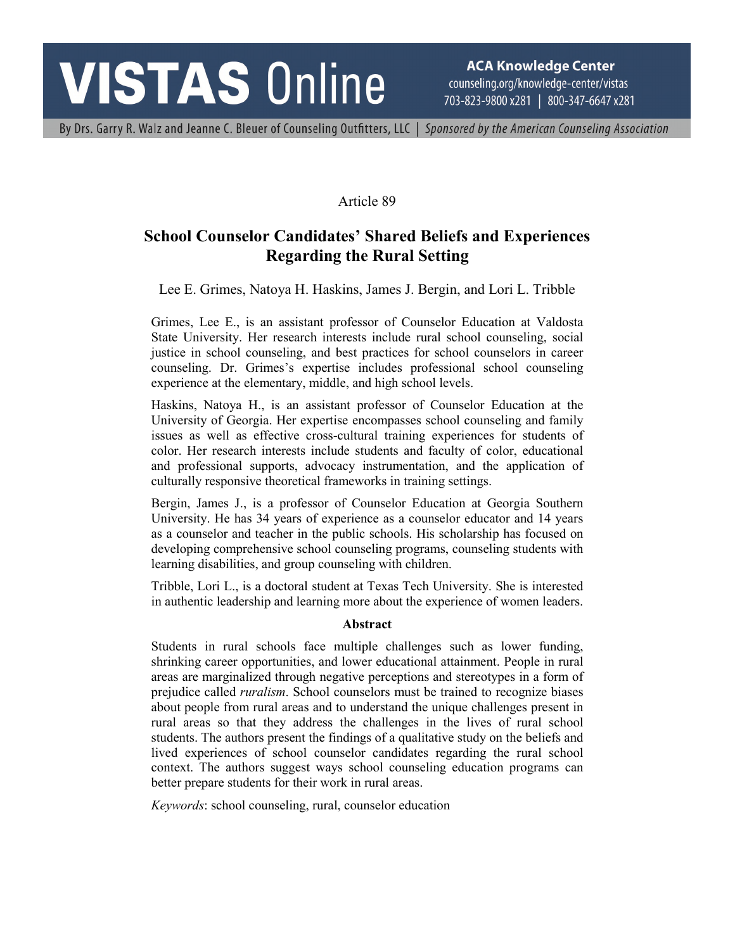# **VISTAS Online**

**ACA Knowledge Center** counseling.org/knowledge-center/vistas 703-823-9800 x281 | 800-347-6647 x281

By Drs. Garry R. Walz and Jeanne C. Bleuer of Counseling Outfitters, LLC | Sponsored by the American Counseling Association

# Article 89

# **School Counselor Candidates' Shared Beliefs and Experiences Regarding the Rural Setting**

Lee E. Grimes, Natoya H. Haskins, James J. Bergin, and Lori L. Tribble

Grimes, Lee E., is an assistant professor of Counselor Education at Valdosta State University. Her research interests include rural school counseling, social justice in school counseling, and best practices for school counselors in career counseling. Dr. Grimes's expertise includes professional school counseling experience at the elementary, middle, and high school levels.

Haskins, Natoya H., is an assistant professor of Counselor Education at the University of Georgia. Her expertise encompasses school counseling and family issues as well as effective cross-cultural training experiences for students of color. Her research interests include students and faculty of color, educational and professional supports, advocacy instrumentation, and the application of culturally responsive theoretical frameworks in training settings.

Bergin, James J., is a professor of Counselor Education at Georgia Southern University. He has 34 years of experience as a counselor educator and 14 years as a counselor and teacher in the public schools. His scholarship has focused on developing comprehensive school counseling programs, counseling students with learning disabilities, and group counseling with children.

Tribble, Lori L., is a doctoral student at Texas Tech University. She is interested in authentic leadership and learning more about the experience of women leaders.

#### **Abstract**

Students in rural schools face multiple challenges such as lower funding, shrinking career opportunities, and lower educational attainment. People in rural areas are marginalized through negative perceptions and stereotypes in a form of prejudice called *ruralism*. School counselors must be trained to recognize biases about people from rural areas and to understand the unique challenges present in rural areas so that they address the challenges in the lives of rural school students. The authors present the findings of a qualitative study on the beliefs and lived experiences of school counselor candidates regarding the rural school context. The authors suggest ways school counseling education programs can better prepare students for their work in rural areas.

*Keywords*: school counseling, rural, counselor education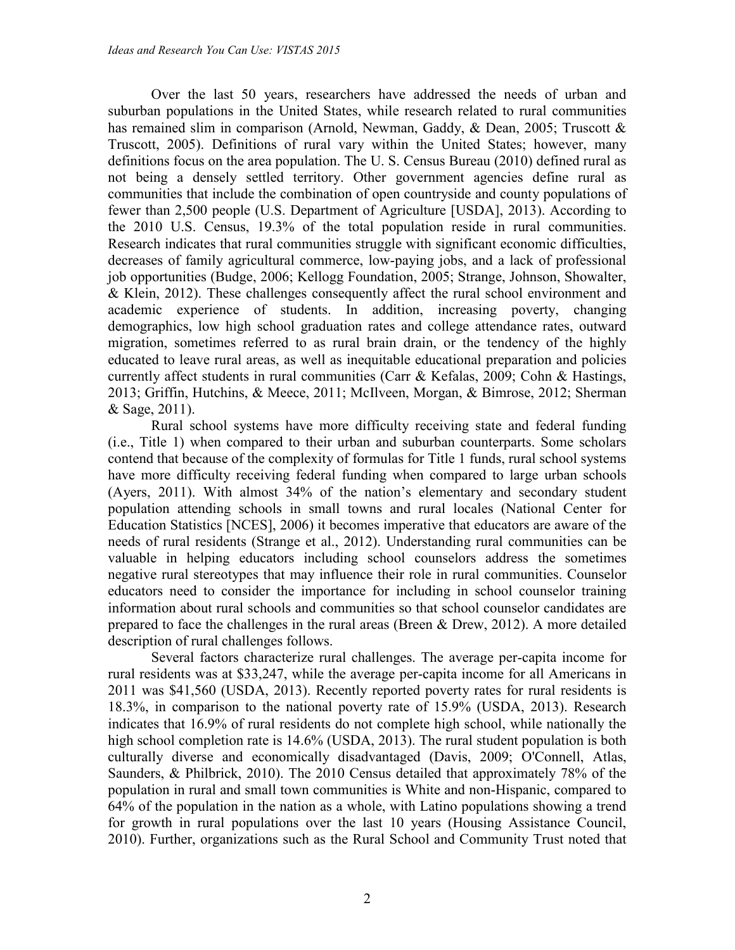Over the last 50 years, researchers have addressed the needs of urban and suburban populations in the United States, while research related to rural communities has remained slim in comparison (Arnold, Newman, Gaddy, & Dean, 2005; Truscott & Truscott, 2005). Definitions of rural vary within the United States; however, many definitions focus on the area population. The U. S. Census Bureau (2010) defined rural as not being a densely settled territory. Other government agencies define rural as communities that include the combination of open countryside and county populations of fewer than 2,500 people (U.S. Department of Agriculture [USDA], 2013). According to the 2010 U.S. Census, 19.3% of the total population reside in rural communities. Research indicates that rural communities struggle with significant economic difficulties, decreases of family agricultural commerce, low-paying jobs, and a lack of professional job opportunities (Budge, 2006; Kellogg Foundation, 2005; Strange, Johnson, Showalter, & Klein, 2012). These challenges consequently affect the rural school environment and academic experience of students. In addition, increasing poverty, changing demographics, low high school graduation rates and college attendance rates, outward migration, sometimes referred to as rural brain drain, or the tendency of the highly educated to leave rural areas, as well as inequitable educational preparation and policies currently affect students in rural communities (Carr & Kefalas, 2009; Cohn & Hastings, 2013; Griffin, Hutchins, & Meece, 2011; McIlveen, Morgan, & Bimrose, 2012; Sherman & Sage, 2011).

Rural school systems have more difficulty receiving state and federal funding (i.e., Title 1) when compared to their urban and suburban counterparts. Some scholars contend that because of the complexity of formulas for Title 1 funds, rural school systems have more difficulty receiving federal funding when compared to large urban schools (Ayers, 2011). With almost 34% of the nation's elementary and secondary student population attending schools in small towns and rural locales (National Center for Education Statistics [NCES], 2006) it becomes imperative that educators are aware of the needs of rural residents (Strange et al., 2012). Understanding rural communities can be valuable in helping educators including school counselors address the sometimes negative rural stereotypes that may influence their role in rural communities. Counselor educators need to consider the importance for including in school counselor training information about rural schools and communities so that school counselor candidates are prepared to face the challenges in the rural areas (Breen & Drew, 2012). A more detailed description of rural challenges follows.

Several factors characterize rural challenges. The average per-capita income for rural residents was at \$33,247, while the average per-capita income for all Americans in 2011 was \$41,560 (USDA, 2013). Recently reported poverty rates for rural residents is 18.3%, in comparison to the national poverty rate of 15.9% (USDA, 2013). Research indicates that 16.9% of rural residents do not complete high school, while nationally the high school completion rate is 14.6% (USDA, 2013). The rural student population is both culturally diverse and economically disadvantaged (Davis, 2009; O'Connell, Atlas, Saunders, & Philbrick, 2010). The 2010 Census detailed that approximately 78% of the population in rural and small town communities is White and non-Hispanic, compared to 64% of the population in the nation as a whole, with Latino populations showing a trend for growth in rural populations over the last 10 years (Housing Assistance Council, 2010). Further, organizations such as the Rural School and Community Trust noted that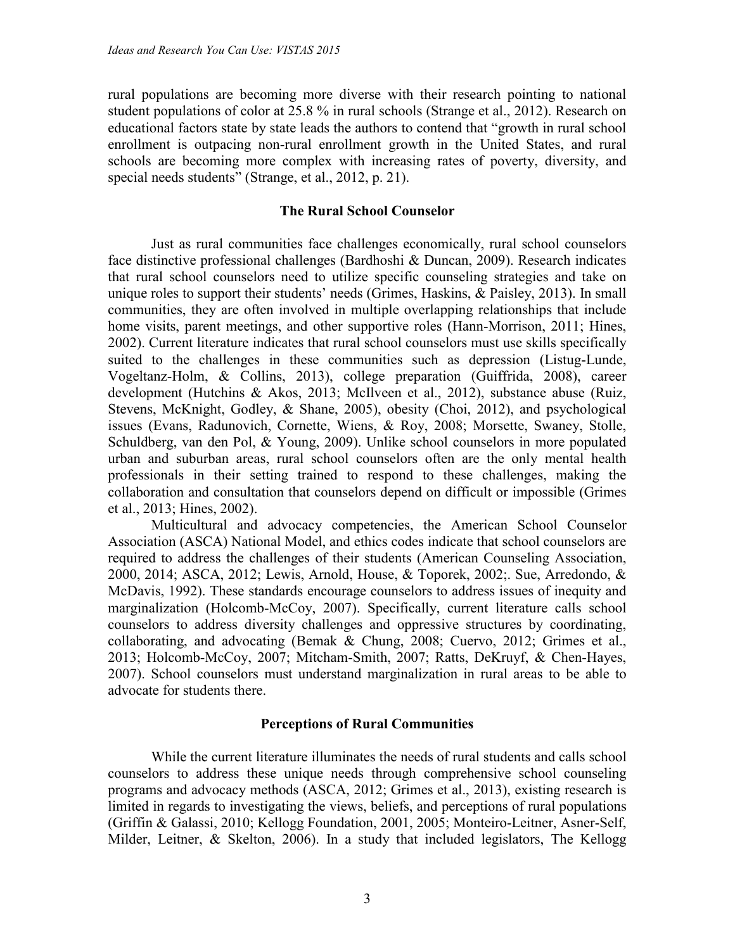rural populations are becoming more diverse with their research pointing to national student populations of color at 25.8 % in rural schools (Strange et al., 2012). Research on educational factors state by state leads the authors to contend that "growth in rural school enrollment is outpacing non-rural enrollment growth in the United States, and rural schools are becoming more complex with increasing rates of poverty, diversity, and special needs students" (Strange, et al., 2012, p. 21).

#### **The Rural School Counselor**

Just as rural communities face challenges economically, rural school counselors face distinctive professional challenges (Bardhoshi & Duncan, 2009). Research indicates that rural school counselors need to utilize specific counseling strategies and take on unique roles to support their students' needs (Grimes, Haskins, & Paisley, 2013). In small communities, they are often involved in multiple overlapping relationships that include home visits, parent meetings, and other supportive roles (Hann-Morrison, 2011; Hines, 2002). Current literature indicates that rural school counselors must use skills specifically suited to the challenges in these communities such as depression (Listug-Lunde, Vogeltanz-Holm, & Collins, 2013), college preparation (Guiffrida, 2008), career development (Hutchins & Akos, 2013; McIlveen et al., 2012), substance abuse (Ruiz, Stevens, McKnight, Godley, & Shane, 2005), obesity (Choi, 2012), and psychological issues (Evans, Radunovich, Cornette, Wiens, & Roy, 2008; Morsette, Swaney, Stolle, Schuldberg, van den Pol, & Young, 2009). Unlike school counselors in more populated urban and suburban areas, rural school counselors often are the only mental health professionals in their setting trained to respond to these challenges, making the collaboration and consultation that counselors depend on difficult or impossible (Grimes et al., 2013; Hines, 2002).

Multicultural and advocacy competencies, the American School Counselor Association (ASCA) National Model, and ethics codes indicate that school counselors are required to address the challenges of their students (American Counseling Association, 2000, 2014; ASCA, 2012; Lewis, Arnold, House, & Toporek, 2002;. Sue, Arredondo, & McDavis, 1992). These standards encourage counselors to address issues of inequity and marginalization (Holcomb-McCoy, 2007). Specifically, current literature calls school counselors to address diversity challenges and oppressive structures by coordinating, collaborating, and advocating (Bemak & Chung, 2008; Cuervo, 2012; Grimes et al., 2013; Holcomb-McCoy, 2007; Mitcham-Smith, 2007; Ratts, DeKruyf, & Chen-Hayes, 2007). School counselors must understand marginalization in rural areas to be able to advocate for students there.

#### **Perceptions of Rural Communities**

While the current literature illuminates the needs of rural students and calls school counselors to address these unique needs through comprehensive school counseling programs and advocacy methods (ASCA, 2012; Grimes et al., 2013), existing research is limited in regards to investigating the views, beliefs, and perceptions of rural populations (Griffin & Galassi, 2010; Kellogg Foundation, 2001, 2005; Monteiro-Leitner, Asner-Self, Milder, Leitner, & Skelton, 2006). In a study that included legislators, The Kellogg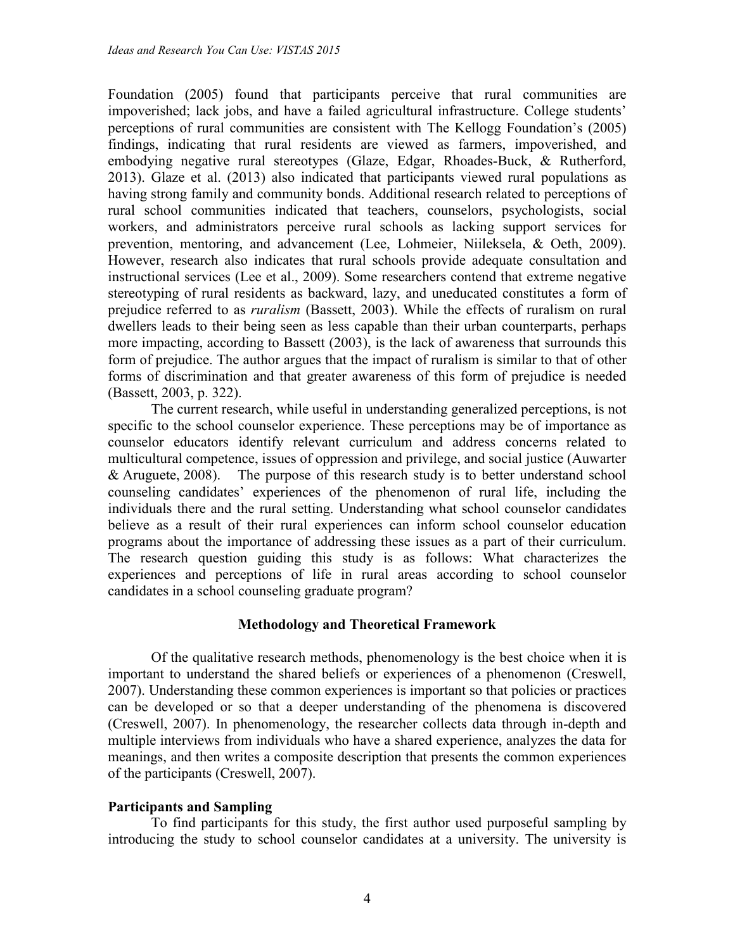Foundation (2005) found that participants perceive that rural communities are impoverished; lack jobs, and have a failed agricultural infrastructure. College students' perceptions of rural communities are consistent with The Kellogg Foundation's (2005) findings, indicating that rural residents are viewed as farmers, impoverished, and embodying negative rural stereotypes (Glaze, Edgar, Rhoades-Buck, & Rutherford, 2013). Glaze et al. (2013) also indicated that participants viewed rural populations as having strong family and community bonds. Additional research related to perceptions of rural school communities indicated that teachers, counselors, psychologists, social workers, and administrators perceive rural schools as lacking support services for prevention, mentoring, and advancement (Lee, Lohmeier, Niileksela, & Oeth, 2009). However, research also indicates that rural schools provide adequate consultation and instructional services (Lee et al., 2009). Some researchers contend that extreme negative stereotyping of rural residents as backward, lazy, and uneducated constitutes a form of prejudice referred to as *ruralism* (Bassett, 2003). While the effects of ruralism on rural dwellers leads to their being seen as less capable than their urban counterparts, perhaps more impacting, according to Bassett (2003), is the lack of awareness that surrounds this form of prejudice. The author argues that the impact of ruralism is similar to that of other forms of discrimination and that greater awareness of this form of prejudice is needed (Bassett, 2003, p. 322).

The current research, while useful in understanding generalized perceptions, is not specific to the school counselor experience. These perceptions may be of importance as counselor educators identify relevant curriculum and address concerns related to multicultural competence, issues of oppression and privilege, and social justice (Auwarter & Aruguete, 2008). The purpose of this research study is to better understand school counseling candidates' experiences of the phenomenon of rural life, including the individuals there and the rural setting. Understanding what school counselor candidates believe as a result of their rural experiences can inform school counselor education programs about the importance of addressing these issues as a part of their curriculum. The research question guiding this study is as follows: What characterizes the experiences and perceptions of life in rural areas according to school counselor candidates in a school counseling graduate program?

# **Methodology and Theoretical Framework**

Of the qualitative research methods, phenomenology is the best choice when it is important to understand the shared beliefs or experiences of a phenomenon (Creswell, 2007). Understanding these common experiences is important so that policies or practices can be developed or so that a deeper understanding of the phenomena is discovered (Creswell, 2007). In phenomenology, the researcher collects data through in-depth and multiple interviews from individuals who have a shared experience, analyzes the data for meanings, and then writes a composite description that presents the common experiences of the participants (Creswell, 2007).

# **Participants and Sampling**

To find participants for this study, the first author used purposeful sampling by introducing the study to school counselor candidates at a university. The university is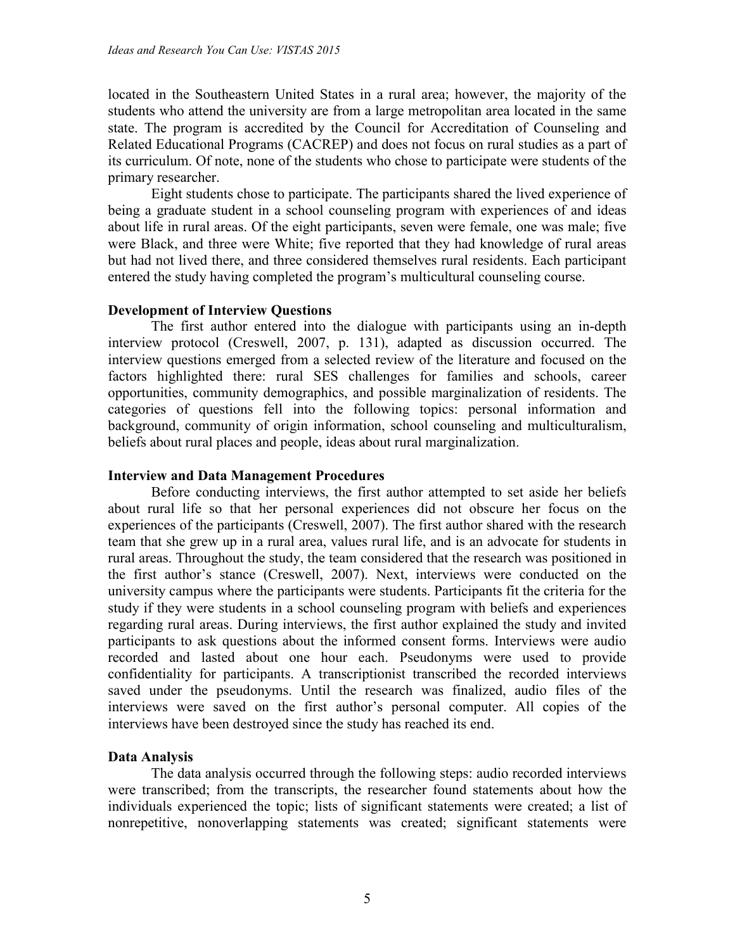located in the Southeastern United States in a rural area; however, the majority of the students who attend the university are from a large metropolitan area located in the same state. The program is accredited by the Council for Accreditation of Counseling and Related Educational Programs (CACREP) and does not focus on rural studies as a part of its curriculum. Of note, none of the students who chose to participate were students of the primary researcher.

Eight students chose to participate. The participants shared the lived experience of being a graduate student in a school counseling program with experiences of and ideas about life in rural areas. Of the eight participants, seven were female, one was male; five were Black, and three were White; five reported that they had knowledge of rural areas but had not lived there, and three considered themselves rural residents. Each participant entered the study having completed the program's multicultural counseling course.

# **Development of Interview Questions**

The first author entered into the dialogue with participants using an in-depth interview protocol (Creswell, 2007, p. 131), adapted as discussion occurred. The interview questions emerged from a selected review of the literature and focused on the factors highlighted there: rural SES challenges for families and schools, career opportunities, community demographics, and possible marginalization of residents. The categories of questions fell into the following topics: personal information and background, community of origin information, school counseling and multiculturalism, beliefs about rural places and people, ideas about rural marginalization.

# **Interview and Data Management Procedures**

Before conducting interviews, the first author attempted to set aside her beliefs about rural life so that her personal experiences did not obscure her focus on the experiences of the participants (Creswell, 2007). The first author shared with the research team that she grew up in a rural area, values rural life, and is an advocate for students in rural areas. Throughout the study, the team considered that the research was positioned in the first author's stance (Creswell, 2007). Next, interviews were conducted on the university campus where the participants were students. Participants fit the criteria for the study if they were students in a school counseling program with beliefs and experiences regarding rural areas. During interviews, the first author explained the study and invited participants to ask questions about the informed consent forms. Interviews were audio recorded and lasted about one hour each. Pseudonyms were used to provide confidentiality for participants. A transcriptionist transcribed the recorded interviews saved under the pseudonyms. Until the research was finalized, audio files of the interviews were saved on the first author's personal computer. All copies of the interviews have been destroyed since the study has reached its end.

# **Data Analysis**

The data analysis occurred through the following steps: audio recorded interviews were transcribed; from the transcripts, the researcher found statements about how the individuals experienced the topic; lists of significant statements were created; a list of nonrepetitive, nonoverlapping statements was created; significant statements were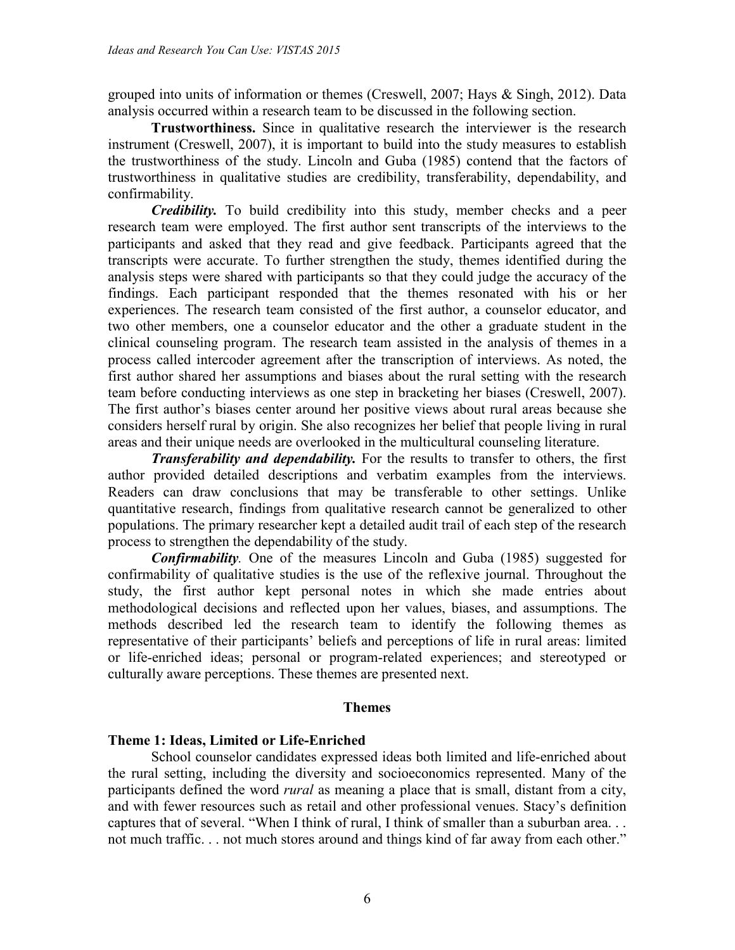grouped into units of information or themes (Creswell, 2007; Hays & Singh, 2012). Data analysis occurred within a research team to be discussed in the following section.

**Trustworthiness.** Since in qualitative research the interviewer is the research instrument (Creswell, 2007), it is important to build into the study measures to establish the trustworthiness of the study. Lincoln and Guba (1985) contend that the factors of trustworthiness in qualitative studies are credibility, transferability, dependability, and confirmability.

*Credibility.* To build credibility into this study, member checks and a peer research team were employed. The first author sent transcripts of the interviews to the participants and asked that they read and give feedback. Participants agreed that the transcripts were accurate. To further strengthen the study, themes identified during the analysis steps were shared with participants so that they could judge the accuracy of the findings. Each participant responded that the themes resonated with his or her experiences. The research team consisted of the first author, a counselor educator, and two other members, one a counselor educator and the other a graduate student in the clinical counseling program. The research team assisted in the analysis of themes in a process called intercoder agreement after the transcription of interviews. As noted, the first author shared her assumptions and biases about the rural setting with the research team before conducting interviews as one step in bracketing her biases (Creswell, 2007). The first author's biases center around her positive views about rural areas because she considers herself rural by origin. She also recognizes her belief that people living in rural areas and their unique needs are overlooked in the multicultural counseling literature.

*Transferability and dependability.* For the results to transfer to others, the first author provided detailed descriptions and verbatim examples from the interviews. Readers can draw conclusions that may be transferable to other settings. Unlike quantitative research, findings from qualitative research cannot be generalized to other populations. The primary researcher kept a detailed audit trail of each step of the research process to strengthen the dependability of the study.

*Confirmability.* One of the measures Lincoln and Guba (1985) suggested for confirmability of qualitative studies is the use of the reflexive journal. Throughout the study, the first author kept personal notes in which she made entries about methodological decisions and reflected upon her values, biases, and assumptions. The methods described led the research team to identify the following themes as representative of their participants' beliefs and perceptions of life in rural areas: limited or life-enriched ideas; personal or program-related experiences; and stereotyped or culturally aware perceptions. These themes are presented next.

#### **Themes**

# **Theme 1: Ideas, Limited or Life-Enriched**

School counselor candidates expressed ideas both limited and life-enriched about the rural setting, including the diversity and socioeconomics represented. Many of the participants defined the word *rural* as meaning a place that is small, distant from a city, and with fewer resources such as retail and other professional venues. Stacy's definition captures that of several. "When I think of rural, I think of smaller than a suburban area. . . not much traffic. . . not much stores around and things kind of far away from each other."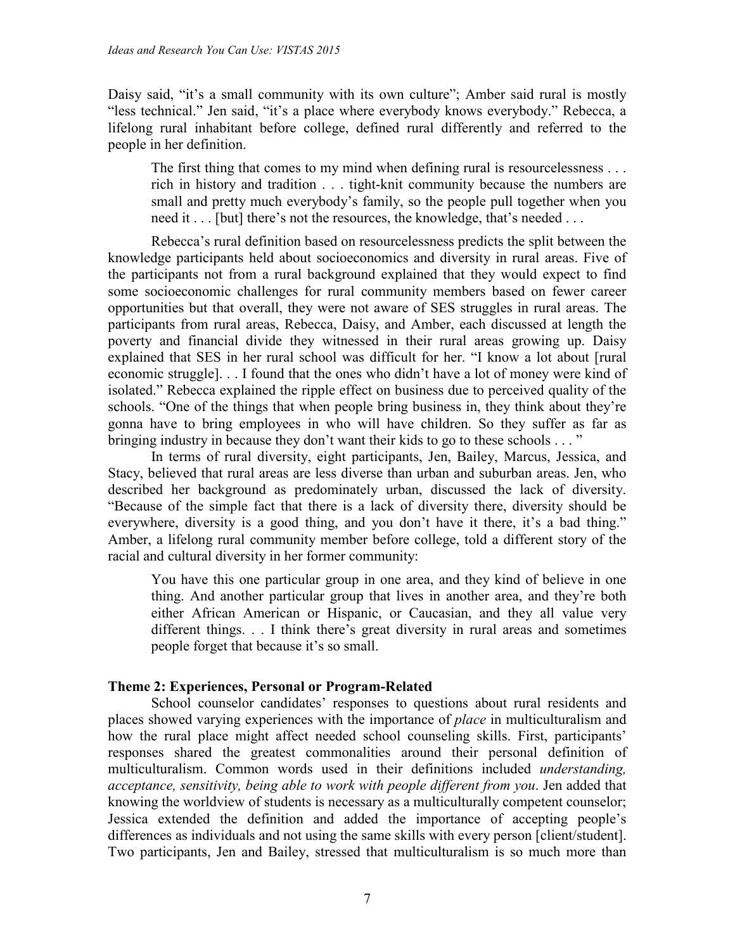Daisy said, "it's a small community with its own culture"; Amber said rural is mostly "less technical." Jen said, "it's a place where everybody knows everybody." Rebecca, a lifelong rural inhabitant before college, defined rural differently and referred to the people in her definition.

The first thing that comes to my mind when defining rural is resourcelessness . . . rich in history and tradition . . . tight-knit community because the numbers are small and pretty much everybody's family, so the people pull together when you need it . . . [but] there's not the resources, the knowledge, that's needed . . .

Rebecca's rural definition based on resourcelessness predicts the split between the knowledge participants held about socioeconomics and diversity in rural areas. Five of the participants not from a rural background explained that they would expect to find some socioeconomic challenges for rural community members based on fewer career opportunities but that overall, they were not aware of SES struggles in rural areas. The participants from rural areas, Rebecca, Daisy, and Amber, each discussed at length the poverty and financial divide they witnessed in their rural areas growing up. Daisy explained that SES in her rural school was difficult for her. "I know a lot about [rural economic struggle]. . . I found that the ones who didn't have a lot of money were kind of isolated." Rebecca explained the ripple effect on business due to perceived quality of the schools. "One of the things that when people bring business in, they think about they're gonna have to bring employees in who will have children. So they suffer as far as bringing industry in because they don't want their kids to go to these schools . . . "

In terms of rural diversity, eight participants, Jen, Bailey, Marcus, Jessica, and Stacy, believed that rural areas are less diverse than urban and suburban areas. Jen, who described her background as predominately urban, discussed the lack of diversity. "Because of the simple fact that there is a lack of diversity there, diversity should be everywhere, diversity is a good thing, and you don't have it there, it's a bad thing." Amber, a lifelong rural community member before college, told a different story of the racial and cultural diversity in her former community:

You have this one particular group in one area, and they kind of believe in one thing. And another particular group that lives in another area, and they're both either African American or Hispanic, or Caucasian, and they all value very different things. . . I think there's great diversity in rural areas and sometimes people forget that because it's so small.

# **Theme 2: Experiences, Personal or Program-Related**

School counselor candidates' responses to questions about rural residents and places showed varying experiences with the importance of *place* in multiculturalism and how the rural place might affect needed school counseling skills. First, participants' responses shared the greatest commonalities around their personal definition of multiculturalism. Common words used in their definitions included *understanding, acceptance, sensitivity, being able to work with people different from you*. Jen added that knowing the worldview of students is necessary as a multiculturally competent counselor; Jessica extended the definition and added the importance of accepting people's differences as individuals and not using the same skills with every person [client/student]. Two participants, Jen and Bailey, stressed that multiculturalism is so much more than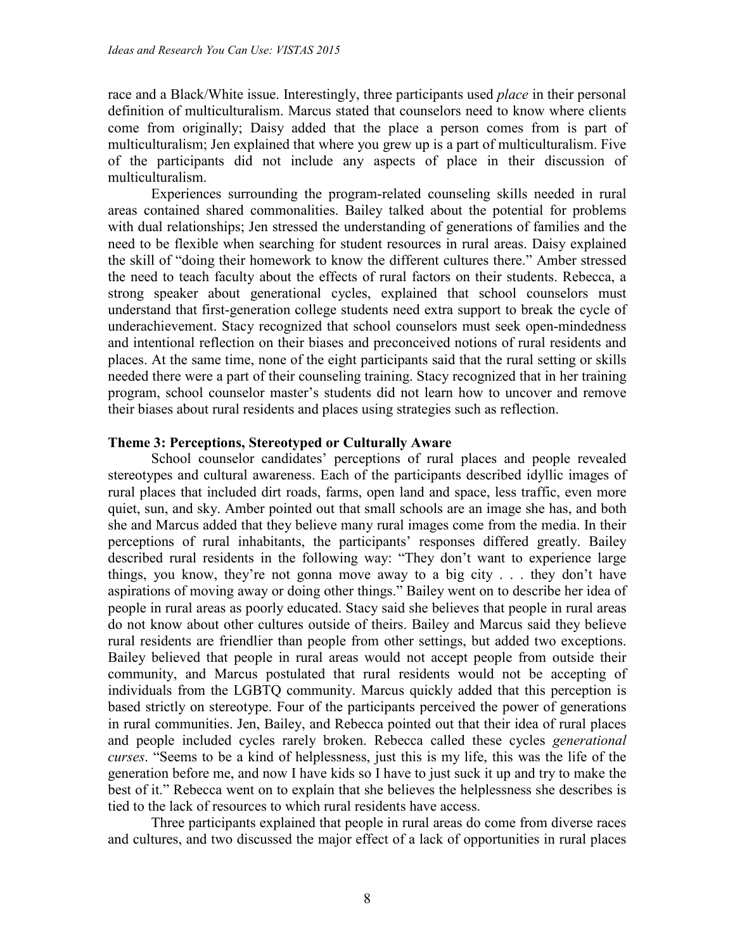race and a Black/White issue. Interestingly, three participants used *place* in their personal definition of multiculturalism. Marcus stated that counselors need to know where clients come from originally; Daisy added that the place a person comes from is part of multiculturalism; Jen explained that where you grew up is a part of multiculturalism. Five of the participants did not include any aspects of place in their discussion of multiculturalism.

Experiences surrounding the program-related counseling skills needed in rural areas contained shared commonalities. Bailey talked about the potential for problems with dual relationships; Jen stressed the understanding of generations of families and the need to be flexible when searching for student resources in rural areas. Daisy explained the skill of "doing their homework to know the different cultures there." Amber stressed the need to teach faculty about the effects of rural factors on their students. Rebecca, a strong speaker about generational cycles, explained that school counselors must understand that first-generation college students need extra support to break the cycle of underachievement. Stacy recognized that school counselors must seek open-mindedness and intentional reflection on their biases and preconceived notions of rural residents and places. At the same time, none of the eight participants said that the rural setting or skills needed there were a part of their counseling training. Stacy recognized that in her training program, school counselor master's students did not learn how to uncover and remove their biases about rural residents and places using strategies such as reflection.

#### **Theme 3: Perceptions, Stereotyped or Culturally Aware**

School counselor candidates' perceptions of rural places and people revealed stereotypes and cultural awareness. Each of the participants described idyllic images of rural places that included dirt roads, farms, open land and space, less traffic, even more quiet, sun, and sky. Amber pointed out that small schools are an image she has, and both she and Marcus added that they believe many rural images come from the media. In their perceptions of rural inhabitants, the participants' responses differed greatly. Bailey described rural residents in the following way: "They don't want to experience large things, you know, they're not gonna move away to a big city . . . they don't have aspirations of moving away or doing other things." Bailey went on to describe her idea of people in rural areas as poorly educated. Stacy said she believes that people in rural areas do not know about other cultures outside of theirs. Bailey and Marcus said they believe rural residents are friendlier than people from other settings, but added two exceptions. Bailey believed that people in rural areas would not accept people from outside their community, and Marcus postulated that rural residents would not be accepting of individuals from the LGBTQ community. Marcus quickly added that this perception is based strictly on stereotype. Four of the participants perceived the power of generations in rural communities. Jen, Bailey, and Rebecca pointed out that their idea of rural places and people included cycles rarely broken. Rebecca called these cycles *generational curses*. "Seems to be a kind of helplessness, just this is my life, this was the life of the generation before me, and now I have kids so I have to just suck it up and try to make the best of it." Rebecca went on to explain that she believes the helplessness she describes is tied to the lack of resources to which rural residents have access.

Three participants explained that people in rural areas do come from diverse races and cultures, and two discussed the major effect of a lack of opportunities in rural places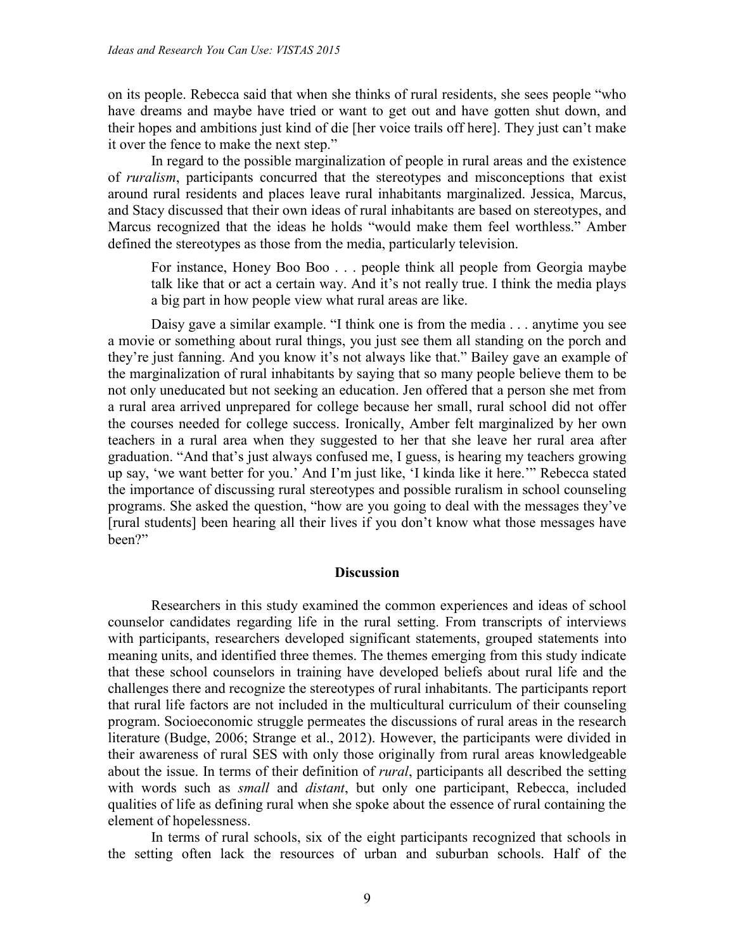on its people. Rebecca said that when she thinks of rural residents, she sees people "who have dreams and maybe have tried or want to get out and have gotten shut down, and their hopes and ambitions just kind of die [her voice trails off here]. They just can't make it over the fence to make the next step."

In regard to the possible marginalization of people in rural areas and the existence of *ruralism*, participants concurred that the stereotypes and misconceptions that exist around rural residents and places leave rural inhabitants marginalized. Jessica, Marcus, and Stacy discussed that their own ideas of rural inhabitants are based on stereotypes, and Marcus recognized that the ideas he holds "would make them feel worthless." Amber defined the stereotypes as those from the media, particularly television.

For instance, Honey Boo Boo . . . people think all people from Georgia maybe talk like that or act a certain way. And it's not really true. I think the media plays a big part in how people view what rural areas are like.

Daisy gave a similar example. "I think one is from the media . . . anytime you see a movie or something about rural things, you just see them all standing on the porch and they're just fanning. And you know it's not always like that." Bailey gave an example of the marginalization of rural inhabitants by saying that so many people believe them to be not only uneducated but not seeking an education. Jen offered that a person she met from a rural area arrived unprepared for college because her small, rural school did not offer the courses needed for college success. Ironically, Amber felt marginalized by her own teachers in a rural area when they suggested to her that she leave her rural area after graduation. "And that's just always confused me, I guess, is hearing my teachers growing up say, 'we want better for you.' And I'm just like, 'I kinda like it here.'" Rebecca stated the importance of discussing rural stereotypes and possible ruralism in school counseling programs. She asked the question, "how are you going to deal with the messages they've [rural students] been hearing all their lives if you don't know what those messages have been?"

#### **Discussion**

Researchers in this study examined the common experiences and ideas of school counselor candidates regarding life in the rural setting. From transcripts of interviews with participants, researchers developed significant statements, grouped statements into meaning units, and identified three themes. The themes emerging from this study indicate that these school counselors in training have developed beliefs about rural life and the challenges there and recognize the stereotypes of rural inhabitants. The participants report that rural life factors are not included in the multicultural curriculum of their counseling program. Socioeconomic struggle permeates the discussions of rural areas in the research literature (Budge, 2006; Strange et al., 2012). However, the participants were divided in their awareness of rural SES with only those originally from rural areas knowledgeable about the issue. In terms of their definition of *rural*, participants all described the setting with words such as *small* and *distant*, but only one participant, Rebecca, included qualities of life as defining rural when she spoke about the essence of rural containing the element of hopelessness.

In terms of rural schools, six of the eight participants recognized that schools in the setting often lack the resources of urban and suburban schools. Half of the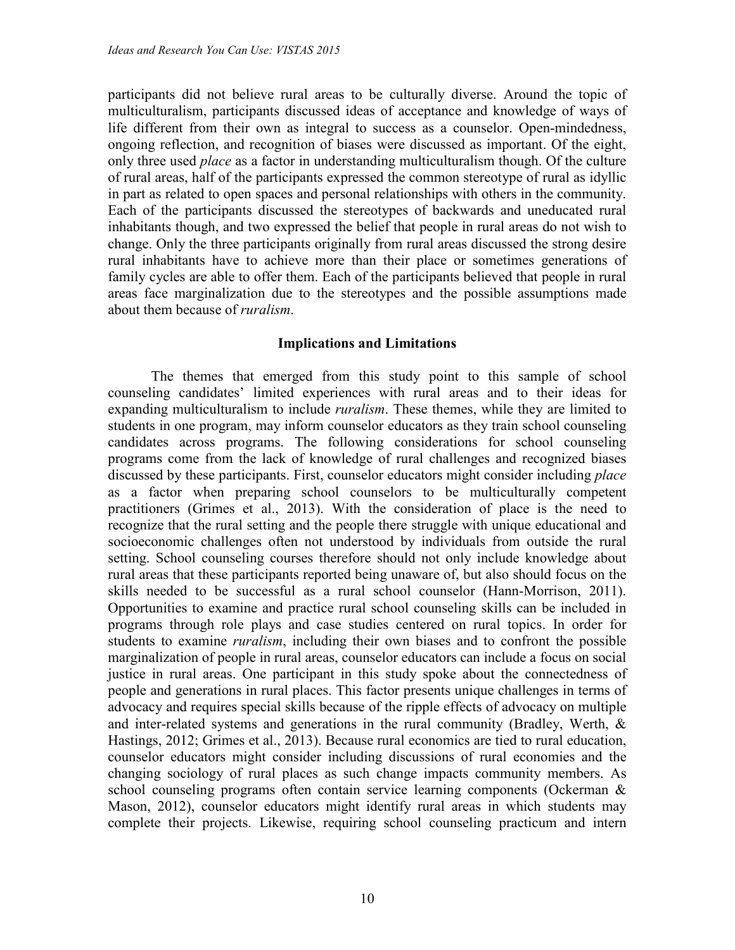participants did not believe rural areas to be culturally diverse. Around the topic of multiculturalism, participants discussed ideas of acceptance and knowledge of ways of life different from their own as integral to success as a counselor. Open-mindedness, ongoing reflection, and recognition of biases were discussed as important. Of the eight, only three used *place* as a factor in understanding multiculturalism though. Of the culture of rural areas, half of the participants expressed the common stereotype of rural as idyllic in part as related to open spaces and personal relationships with others in the community. Each of the participants discussed the stereotypes of backwards and uneducated rural inhabitants though, and two expressed the belief that people in rural areas do not wish to change. Only the three participants originally from rural areas discussed the strong desire rural inhabitants have to achieve more than their place or sometimes generations of family cycles are able to offer them. Each of the participants believed that people in rural areas face marginalization due to the stereotypes and the possible assumptions made about them because of *ruralism*.

#### **Implications and Limitations**

The themes that emerged from this study point to this sample of school counseling candidates' limited experiences with rural areas and to their ideas for expanding multiculturalism to include *ruralism*. These themes, while they are limited to students in one program, may inform counselor educators as they train school counseling candidates across programs. The following considerations for school counseling programs come from the lack of knowledge of rural challenges and recognized biases discussed by these participants. First, counselor educators might consider including *place* as a factor when preparing school counselors to be multiculturally competent practitioners (Grimes et al., 2013). With the consideration of place is the need to recognize that the rural setting and the people there struggle with unique educational and socioeconomic challenges often not understood by individuals from outside the rural setting. School counseling courses therefore should not only include knowledge about rural areas that these participants reported being unaware of, but also should focus on the skills needed to be successful as a rural school counselor (Hann-Morrison, 2011). Opportunities to examine and practice rural school counseling skills can be included in programs through role plays and case studies centered on rural topics. In order for students to examine *ruralism*, including their own biases and to confront the possible marginalization of people in rural areas, counselor educators can include a focus on social justice in rural areas. One participant in this study spoke about the connectedness of people and generations in rural places. This factor presents unique challenges in terms of advocacy and requires special skills because of the ripple effects of advocacy on multiple and inter-related systems and generations in the rural community (Bradley, Werth, & Hastings, 2012; Grimes et al., 2013). Because rural economics are tied to rural education, counselor educators might consider including discussions of rural economies and the changing sociology of rural places as such change impacts community members. As school counseling programs often contain service learning components (Ockerman & Mason, 2012), counselor educators might identify rural areas in which students may complete their projects. Likewise, requiring school counseling practicum and intern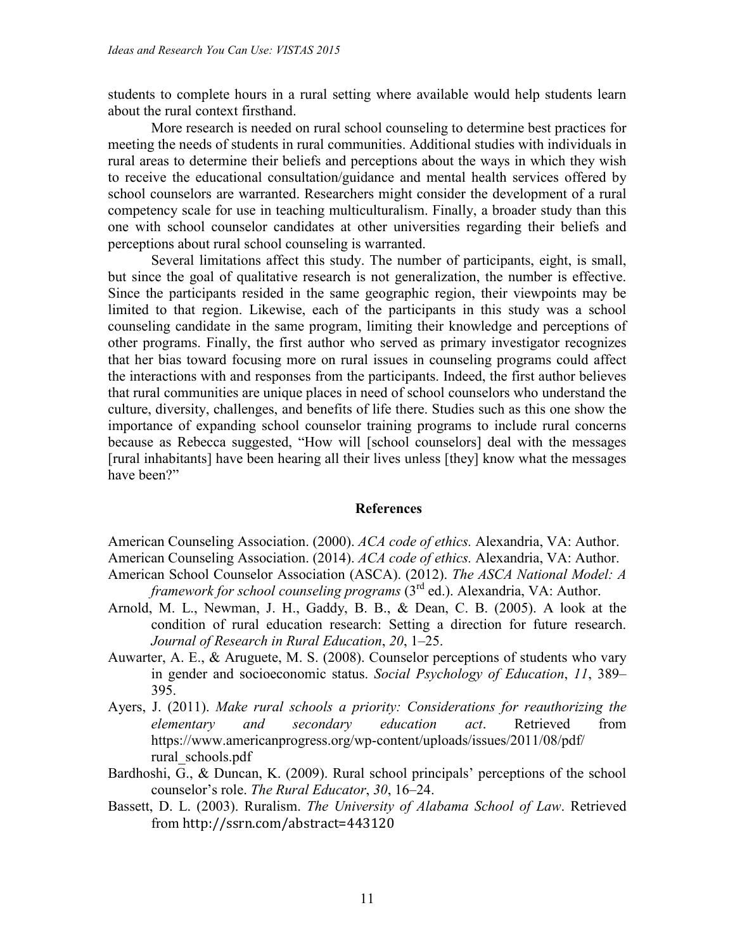students to complete hours in a rural setting where available would help students learn about the rural context firsthand.

More research is needed on rural school counseling to determine best practices for meeting the needs of students in rural communities. Additional studies with individuals in rural areas to determine their beliefs and perceptions about the ways in which they wish to receive the educational consultation/guidance and mental health services offered by school counselors are warranted. Researchers might consider the development of a rural competency scale for use in teaching multiculturalism. Finally, a broader study than this one with school counselor candidates at other universities regarding their beliefs and perceptions about rural school counseling is warranted.

Several limitations affect this study. The number of participants, eight, is small, but since the goal of qualitative research is not generalization, the number is effective. Since the participants resided in the same geographic region, their viewpoints may be limited to that region. Likewise, each of the participants in this study was a school counseling candidate in the same program, limiting their knowledge and perceptions of other programs. Finally, the first author who served as primary investigator recognizes that her bias toward focusing more on rural issues in counseling programs could affect the interactions with and responses from the participants. Indeed, the first author believes that rural communities are unique places in need of school counselors who understand the culture, diversity, challenges, and benefits of life there. Studies such as this one show the importance of expanding school counselor training programs to include rural concerns because as Rebecca suggested, "How will [school counselors] deal with the messages [rural inhabitants] have been hearing all their lives unless [they] know what the messages have been?"

#### **References**

American Counseling Association. (2000). *ACA code of ethics.* Alexandria, VA: Author. American Counseling Association. (2014). *ACA code of ethics.* Alexandria, VA: Author. American School Counselor Association (ASCA). (2012). *The ASCA National Model: A*

- *framework for school counseling programs* (3rd ed.). Alexandria, VA: Author.
- Arnold, M. L., Newman, J. H., Gaddy, B. B., & Dean, C. B. (2005). A look at the condition of rural education research: Setting a direction for future research. *Journal of Research in Rural Education*, *20*, 1–25.
- Auwarter, A. E., & Aruguete, M. S. (2008). Counselor perceptions of students who vary in gender and socioeconomic status. *Social Psychology of Education*, *11*, 389– 395.
- Ayers, J. (2011). *Make rural schools a priority: Considerations for reauthorizing the elementary and secondary education act*. Retrieved from https://www.americanprogress.org/wp-content/uploads/issues/2011/08/pdf/ rural\_schools.pdf
- Bardhoshi, G., & Duncan, K. (2009). Rural school principals' perceptions of the school counselor's role. *The Rural Educator*, *30*, 16–24.
- Bassett, D. L. (2003). Ruralism. *The University of Alabama School of Law*. Retrieved from http://ssrn.com/abstract=443120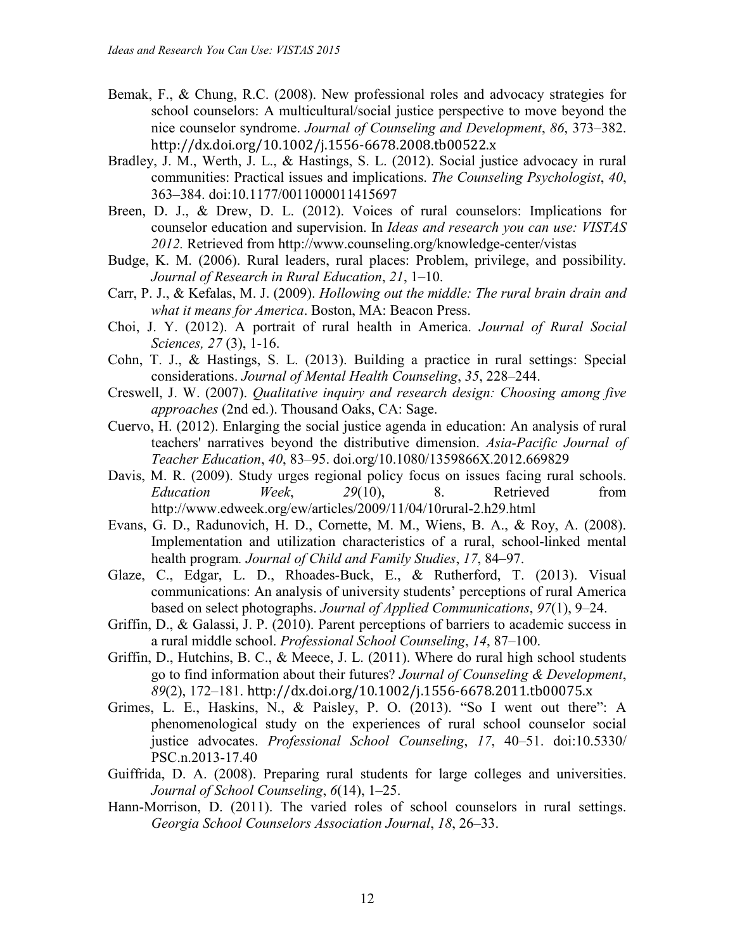- Bemak, F., & Chung, R.C. (2008). New professional roles and advocacy strategies for school counselors: A multicultural/social justice perspective to move beyond the nice counselor syndrome. *Journal of Counseling and Development*, *86*, 373–382. http://dx.doi.org/10.1002/j.1556-6678.2008.tb00522.x
- Bradley, J. M., Werth, J. L., & Hastings, S. L. (2012). Social justice advocacy in rural communities: Practical issues and implications. *The Counseling Psychologist*, *40*, 363–384. doi:10.1177/0011000011415697
- Breen, D. J., & Drew, D. L. (2012). Voices of rural counselors: Implications for counselor education and supervision. In *Ideas and research you can use: VISTAS 2012.* Retrieved from http://www.counseling.org/knowledge-center/vistas
- Budge, K. M. (2006). Rural leaders, rural places: Problem, privilege, and possibility. *Journal of Research in Rural Education*, *21*, 1–10.
- Carr, P. J., & Kefalas, M. J. (2009). *Hollowing out the middle: The rural brain drain and what it means for America*. Boston, MA: Beacon Press.
- Choi, J. Y. (2012). A portrait of rural health in America. *Journal of Rural Social Sciences, 27* (3), 1-16.
- Cohn, T. J., & Hastings, S. L. (2013). Building a practice in rural settings: Special considerations. *Journal of Mental Health Counseling*, *35*, 228–244.
- Creswell, J. W. (2007). *Qualitative inquiry and research design: Choosing among five approaches* (2nd ed.). Thousand Oaks, CA: Sage.
- Cuervo, H. (2012). Enlarging the social justice agenda in education: An analysis of rural teachers' narratives beyond the distributive dimension. *Asia-Pacific Journal of Teacher Education*, *40*, 83–95. doi.org/10.1080/1359866X.2012.669829
- Davis, M. R. (2009). Study urges regional policy focus on issues facing rural schools. *Education Week*, *29*(10), 8. Retrieved from http://www.edweek.org/ew/articles/2009/11/04/10rural-2.h29.html
- Evans, G. D., Radunovich, H. D., Cornette, M. M., Wiens, B. A., & Roy, A. (2008). Implementation and utilization characteristics of a rural, school-linked mental health program*. Journal of Child and Family Studies*, *17*, 84–97.
- Glaze, C., Edgar, L. D., Rhoades-Buck, E., & Rutherford, T. (2013). Visual communications: An analysis of university students' perceptions of rural America based on select photographs. *Journal of Applied Communications*, *97*(1), 9–24.
- Griffin, D., & Galassi, J. P. (2010). Parent perceptions of barriers to academic success in a rural middle school. *Professional School Counseling*, *14*, 87–100.
- Griffin, D., Hutchins, B. C., & Meece, J. L. (2011). Where do rural high school students go to find information about their futures? *Journal of Counseling & Development*, *89*(2), 172–181. http://dx.doi.org/10.1002/j.1556-6678.2011.tb00075.x
- Grimes, L. E., Haskins, N., & Paisley, P. O. (2013). "So I went out there": A phenomenological study on the experiences of rural school counselor social justice advocates. *Professional School Counseling*, *17*, 40–51. doi:10.5330/ PSC.n.2013-17.40
- Guiffrida, D. A. (2008). Preparing rural students for large colleges and universities. *Journal of School Counseling*, *6*(14), 1–25.
- Hann-Morrison, D. (2011). The varied roles of school counselors in rural settings. *Georgia School Counselors Association Journal*, *18*, 26–33.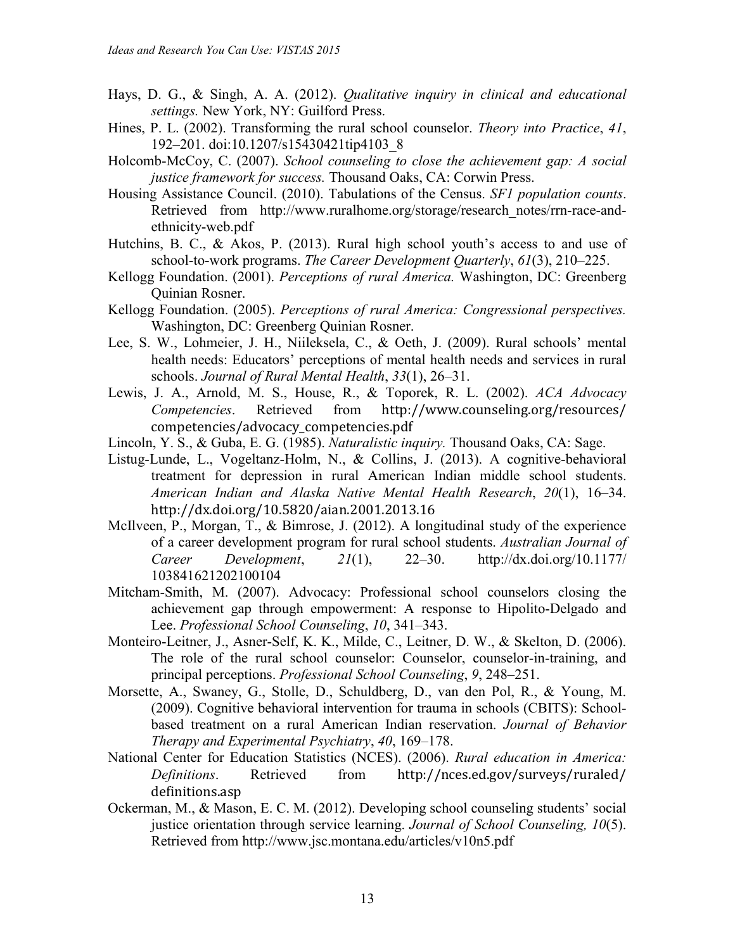- Hays, D. G., & Singh, A. A. (2012). *Qualitative inquiry in clinical and educational settings.* New York, NY: Guilford Press.
- Hines, P. L. (2002). Transforming the rural school counselor. *Theory into Practice*, *41*, 192–201. doi:10.1207/s15430421tip4103\_8
- Holcomb-McCoy, C. (2007). *School counseling to close the achievement gap: A social justice framework for success.* Thousand Oaks, CA: Corwin Press.
- Housing Assistance Council. (2010). Tabulations of the Census. *SF1 population counts*. Retrieved from http://www.ruralhome.org/storage/research notes/rrn-race-andethnicity-web.pdf
- Hutchins, B. C., & Akos, P. (2013). Rural high school youth's access to and use of school-to-work programs. *The Career Development Quarterly*, *61*(3), 210–225.
- Kellogg Foundation. (2001). *Perceptions of rural America.* Washington, DC: Greenberg Quinian Rosner.
- Kellogg Foundation. (2005). *Perceptions of rural America: Congressional perspectives.* Washington, DC: Greenberg Quinian Rosner.
- Lee, S. W., Lohmeier, J. H., Niileksela, C., & Oeth, J. (2009). Rural schools' mental health needs: Educators' perceptions of mental health needs and services in rural schools. *Journal of Rural Mental Health*, *33*(1), 26–31.
- Lewis, J. A., Arnold, M. S., House, R., & Toporek, R. L. (2002). *ACA Advocacy Competencies*. Retrieved from http://www.counseling.org/resources/ competencies/advocacy\_competencies.pdf
- Lincoln, Y. S., & Guba, E. G. (1985). *Naturalistic inquiry.* Thousand Oaks, CA: Sage.
- Listug-Lunde, L., Vogeltanz-Holm, N., & Collins, J. (2013). A cognitive-behavioral treatment for depression in rural American Indian middle school students. *American Indian and Alaska Native Mental Health Research*, *20*(1), 16–34. http://dx.doi.org/10.5820/aian.2001.2013.16
- McIlveen, P., Morgan, T., & Bimrose, J. (2012). A longitudinal study of the experience of a career development program for rural school students. *Australian Journal of Career Development*, *21*(1), 22–30. http://dx.doi.org/10.1177/ 103841621202100104
- Mitcham-Smith, M. (2007). Advocacy: Professional school counselors closing the achievement gap through empowerment: A response to Hipolito-Delgado and Lee. *Professional School Counseling*, *10*, 341–343.
- Monteiro-Leitner, J., Asner-Self, K. K., Milde, C., Leitner, D. W., & Skelton, D. (2006). The role of the rural school counselor: Counselor, counselor-in-training, and principal perceptions. *Professional School Counseling*, *9*, 248–251.
- Morsette, A., Swaney, G., Stolle, D., Schuldberg, D., van den Pol, R., & Young, M. (2009). Cognitive behavioral intervention for trauma in schools (CBITS): Schoolbased treatment on a rural American Indian reservation. *Journal of Behavior Therapy and Experimental Psychiatry*, *40*, 169–178.
- National Center for Education Statistics (NCES). (2006). *Rural education in America: Definitions*. Retrieved from http://nces.ed.gov/surveys/ruraled/ definitions.asp
- Ockerman, M., & Mason, E. C. M. (2012). Developing school counseling students' social justice orientation through service learning. *Journal of School Counseling, 10*(5). Retrieved from http://www.jsc.montana.edu/articles/v10n5.pdf